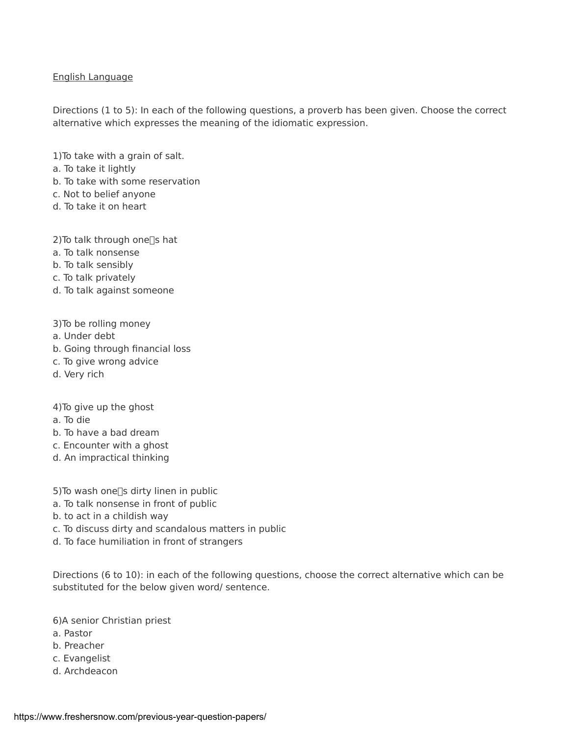## English Language

Directions (1 to 5): In each of the following questions, a proverb has been given. Choose the correct alternative which expresses the meaning of the idiomatic expression.

1)To take with a grain of salt.

- a. To take it lightly
- b. To take with some reservation
- c. Not to belief anyone
- d. To take it on heart

2) To talk through one $\square$ s hat

- a. To talk nonsense
- b. To talk sensibly
- c. To talk privately
- d. To talk against someone

3)To be rolling money

- a. Under debt
- b. Going through financial loss
- c. To give wrong advice
- d. Very rich

4)To give up the ghost

- a. To die
- b. To have a bad dream
- c. Encounter with a ghost
- d. An impractical thinking
- 5) To wash one $\square$ s dirty linen in public
- a. To talk nonsense in front of public
- b. to act in a childish way
- c. To discuss dirty and scandalous matters in public
- d. To face humiliation in front of strangers

Directions (6 to 10): in each of the following questions, choose the correct alternative which can be substituted for the below given word/ sentence.

6)A senior Christian priest

- a. Pastor
- b. Preacher
- c. Evangelist
- d. Archdeacon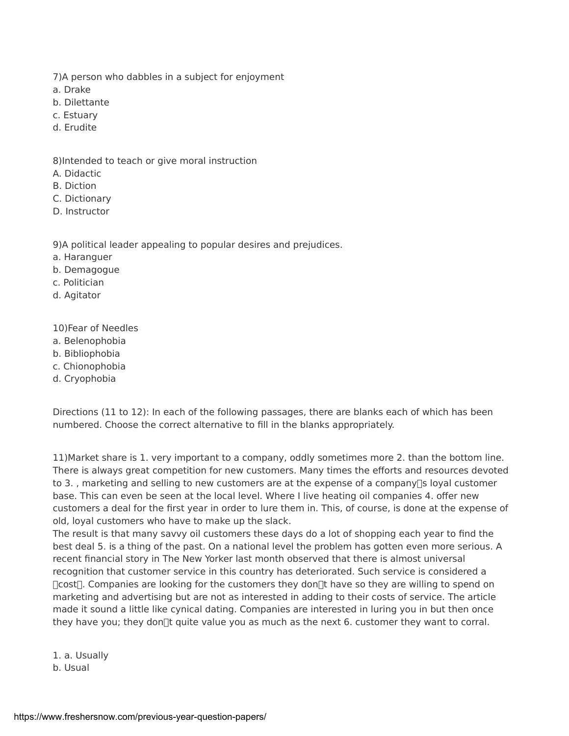- 7)A person who dabbles in a subject for enjoyment
- a. Drake
- b. Dilettante
- c. Estuary
- d. Erudite

8)Intended to teach or give moral instruction

- A. Didactic
- B. Diction
- C. Dictionary
- D. Instructor

9)A political leader appealing to popular desires and prejudices.

- a. Haranguer
- b. Demagogue
- c. Politician
- d. Agitator

10)Fear of Needles

- a. Belenophobia
- b. Bibliophobia
- c. Chionophobia
- d. Cryophobia

Directions (11 to 12): In each of the following passages, there are blanks each of which has been numbered. Choose the correct alternative to fill in the blanks appropriately.

11)Market share is 1. very important to a company, oddly sometimes more 2. than the bottom line. There is always great competition for new customers. Many times the efforts and resources devoted to 3., marketing and selling to new customers are at the expense of a company  $\sqrt{2}$  loyal customer base. This can even be seen at the local level. Where I live heating oil companies 4. offer new customers a deal for the first year in order to lure them in. This, of course, is done at the expense of old, loyal customers who have to make up the slack.

The result is that many savvy oil customers these days do a lot of shopping each year to find the best deal 5. is a thing of the past. On a national level the problem has gotten even more serious. A recent financial story in The New Yorker last month observed that there is almost universal recognition that customer service in this country has deteriorated. Such service is considered a  $\Gamma$ cost $\Gamma$ . Companies are looking for the customers they don $\Gamma$ t have so they are willing to spend on marketing and advertising but are not as interested in adding to their costs of service. The article made it sound a little like cynical dating. Companies are interested in luring you in but then once they have you; they don $\mathbb{R}$  quite value you as much as the next 6. customer they want to corral.

1. a. Usually b. Usual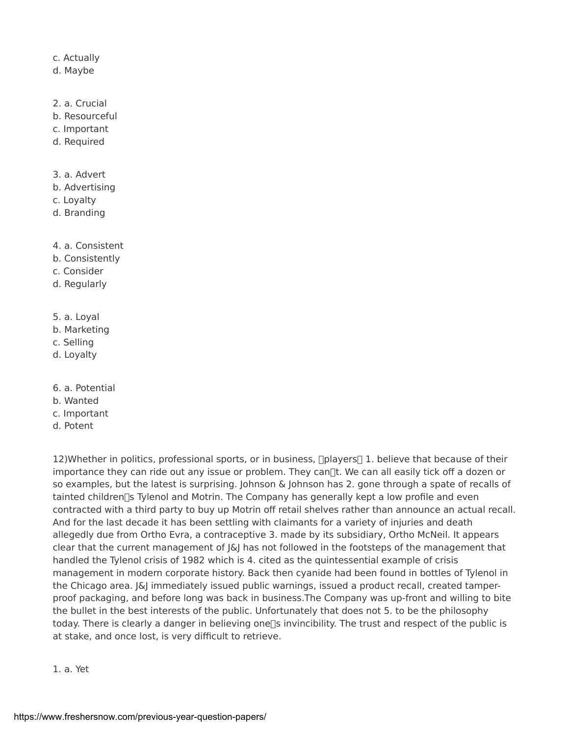## c. Actually

- d. Maybe
- 2. a. Crucial
- b. Resourceful
- c. Important
- d. Required
- 3. a. Advert
- b. Advertising
- c. Loyalty
- d. Branding
- 4. a. Consistent
- b. Consistently
- c. Consider
- d. Regularly
- 5. a. Loyal
- b. Marketing
- c. Selling
- d. Loyalty
- 6. a. Potential
- b. Wanted
- c. Important
- d. Potent

12)Whether in politics, professional sports, or in business,  $\Box$ players $\Box$  1. believe that because of their importance they can ride out any issue or problem. They can $\mathbb{R}$ t. We can all easily tick off a dozen or so examples, but the latest is surprising. Johnson & Johnson has 2. gone through a spate of recalls of tainted children [5] Tylenol and Motrin. The Company has generally kept a low profile and even contracted with a third party to buy up Motrin off retail shelves rather than announce an actual recall. And for the last decade it has been settling with claimants for a variety of injuries and death allegedly due from Ortho Evra, a contraceptive 3. made by its subsidiary, Ortho McNeil. It appears clear that the current management of J&J has not followed in the footsteps of the management that handled the Tylenol crisis of 1982 which is 4. cited as the quintessential example of crisis management in modern corporate history. Back then cyanide had been found in bottles of Tylenol in the Chicago area.  $|\&$  immediately issued public warnings, issued a product recall, created tamperproof packaging, and before long was back in business.The Company was up-front and willing to bite the bullet in the best interests of the public. Unfortunately that does not 5. to be the philosophy today. There is clearly a danger in believing one<sup>[]</sup> invincibility. The trust and respect of the public is at stake, and once lost, is very difficult to retrieve.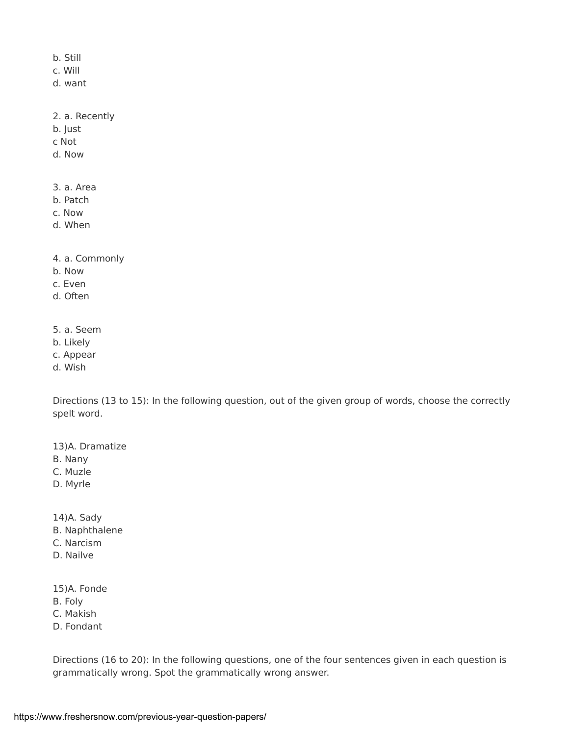b. Still

c. Will

d. want

2. a. Recently

b. Just

c Not

d. Now

3. a. Area

b. Patch

c. Now

d. When

4. a. Commonly

- b. Now
- c. Even

d. Often

- 5. a. Seem
- b. Likely
- c. Appear
- d. Wish

Directions (13 to 15): In the following question, out of the given group of words, choose the correctly spelt word.

13)A. Dramatize

- B. Nany
- C. Muzle
- D. Myrle

14)A. Sady

- B. Naphthalene
- C. Narcism
- D. Nailve

15)A. Fonde

B. Foly

C. Makish

D. Fondant

Directions (16 to 20): In the following questions, one of the four sentences given in each question is grammatically wrong. Spot the grammatically wrong answer.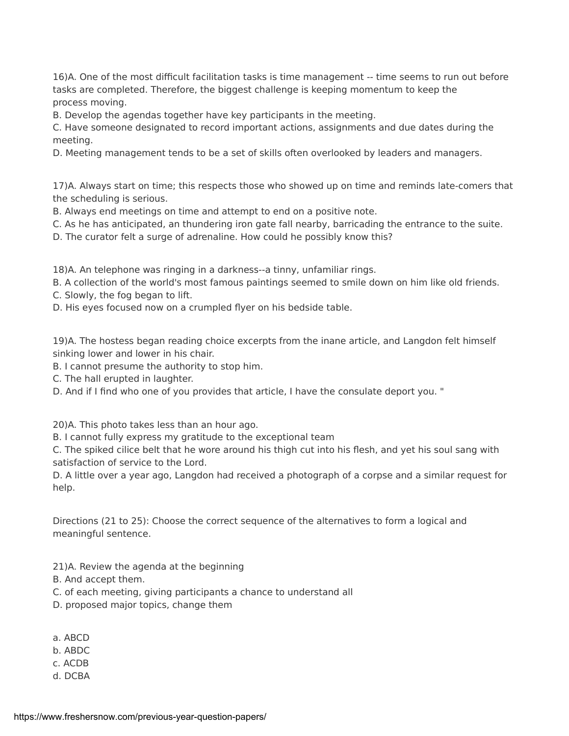16)A. One of the most difficult facilitation tasks is time management -- time seems to run out before tasks are completed. Therefore, the biggest challenge is keeping momentum to keep the process moving.

B. Develop the agendas together have key participants in the meeting.

C. Have someone designated to record important actions, assignments and due dates during the meeting.

D. Meeting management tends to be a set of skills often overlooked by leaders and managers.

17)A. Always start on time; this respects those who showed up on time and reminds late-comers that the scheduling is serious.

B. Always end meetings on time and attempt to end on a positive note.

C. As he has anticipated, an thundering iron gate fall nearby, barricading the entrance to the suite.

D. The curator felt a surge of adrenaline. How could he possibly know this?

18)A. An telephone was ringing in a darkness--a tinny, unfamiliar rings.

B. A collection of the world's most famous paintings seemed to smile down on him like old friends.

- C. Slowly, the fog began to lift.
- D. His eyes focused now on a crumpled flyer on his bedside table.

19)A. The hostess began reading choice excerpts from the inane article, and Langdon felt himself sinking lower and lower in his chair.

B. I cannot presume the authority to stop him.

C. The hall erupted in laughter.

D. And if I find who one of you provides that article, I have the consulate deport you. "

20)A. This photo takes less than an hour ago.

B. I cannot fully express my gratitude to the exceptional team

C. The spiked cilice belt that he wore around his thigh cut into his flesh, and yet his soul sang with satisfaction of service to the Lord.

D. A little over a year ago, Langdon had received a photograph of a corpse and a similar request for help.

Directions (21 to 25): Choose the correct sequence of the alternatives to form a logical and meaningful sentence.

21)A. Review the agenda at the beginning

B. And accept them.

- C. of each meeting, giving participants a chance to understand all
- D. proposed major topics, change them
- a. ABCD
- b. ABDC
- c. ACDB
- d. DCBA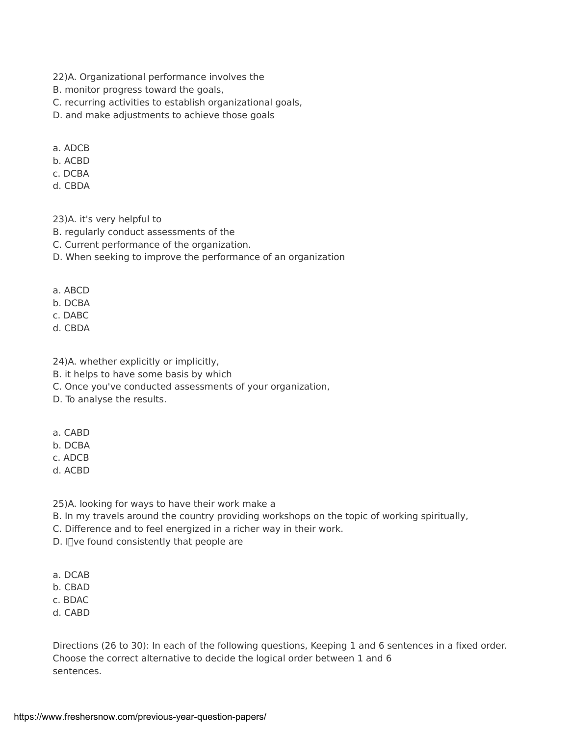- 22)A. Organizational performance involves the
- B. monitor progress toward the goals,
- C. recurring activities to establish organizational goals,
- D. and make adjustments to achieve those goals
- a. ADCB
- b. ACBD
- c. DCBA
- d. CBDA

23)A. it's very helpful to

- B. regularly conduct assessments of the
- C. Current performance of the organization.
- D. When seeking to improve the performance of an organization
- a. ABCD
- b. DCBA
- c. DABC
- d. CBDA
- 24)A. whether explicitly or implicitly,
- B. it helps to have some basis by which
- C. Once you've conducted assessments of your organization,
- D. To analyse the results.
- a. CABD
- b. DCBA
- c. ADCB
- d. ACBD
- 25)A. looking for ways to have their work make a
- B. In my travels around the country providing workshops on the topic of working spiritually,
- C. Difference and to feel energized in a richer way in their work.
- D. I $\Box$ ve found consistently that people are
- a. DCAB
- b. CBAD
- c. BDAC
- d. CABD

Directions (26 to 30): In each of the following questions, Keeping 1 and 6 sentences in a fixed order. Choose the correct alternative to decide the logical order between 1 and 6 sentences.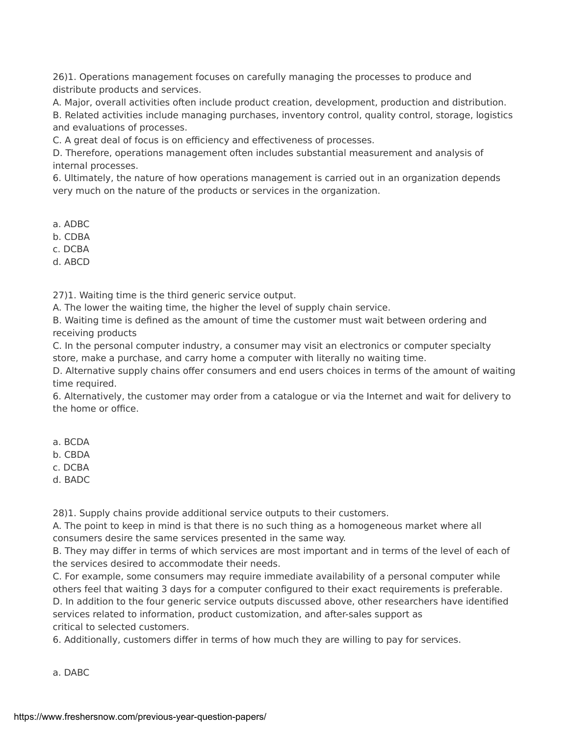26)1. Operations management focuses on carefully managing the processes to produce and distribute products and services.

A. Major, overall activities often include product creation, development, production and distribution.

B. Related activities include managing purchases, inventory control, quality control, storage, logistics and evaluations of processes.

C. A great deal of focus is on efficiency and effectiveness of processes.

D. Therefore, operations management often includes substantial measurement and analysis of internal processes.

6. Ultimately, the nature of how operations management is carried out in an organization depends very much on the nature of the products or services in the organization.

a. ADBC

b. CDBA

c. DCBA

d. ABCD

27)1. Waiting time is the third generic service output.

A. The lower the waiting time, the higher the level of supply chain service.

B. Waiting time is defined as the amount of time the customer must wait between ordering and receiving products

C. In the personal computer industry, a consumer may visit an electronics or computer specialty store, make a purchase, and carry home a computer with literally no waiting time.

D. Alternative supply chains offer consumers and end users choices in terms of the amount of waiting time required.

6. Alternatively, the customer may order from a catalogue or via the Internet and wait for delivery to the home or office.

a. BCDA

b. CBDA

c. DCBA

d. BADC

28)1. Supply chains provide additional service outputs to their customers.

A. The point to keep in mind is that there is no such thing as a homogeneous market where all consumers desire the same services presented in the same way.

B. They may differ in terms of which services are most important and in terms of the level of each of the services desired to accommodate their needs.

C. For example, some consumers may require immediate availability of a personal computer while others feel that waiting 3 days for a computer configured to their exact requirements is preferable.

D. In addition to the four generic service outputs discussed above, other researchers have identified services related to information, product customization, and after-sales support as critical to selected customers.

6. Additionally, customers differ in terms of how much they are willing to pay for services.

a. DABC